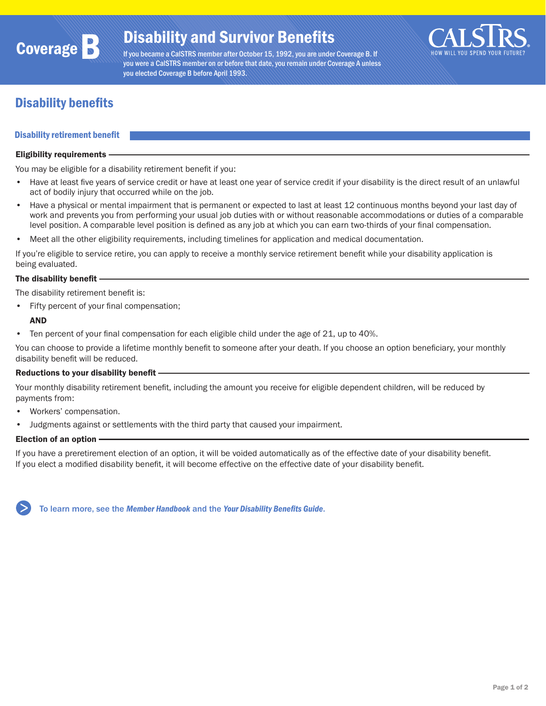

If you became a CalSTRS member after October 15, 1992, you are under Coverage B. If you were a CalSTRS member on or before that date, you remain under Coverage A unless you elected Coverage B before April 1993.



# Disability benefits

# Disability retirement benefit

#### Eligibility requirements

You may be eligible for a disability retirement benefit if you:

- Have at least five years of service credit or have at least one year of service credit if your disability is the direct result of an unlawful act of bodily injury that occurred while on the job.
- Have a physical or mental impairment that is permanent or expected to last at least 12 continuous months beyond your last day of work and prevents you from performing your usual job duties with or without reasonable accommodations or duties of a comparable level position. A comparable level position is defined as any job at which you can earn two-thirds of your final compensation.
- Meet all the other eligibility requirements, including timelines for application and medical documentation.

If you're eligible to service retire, you can apply to receive a monthly service retirement benefit while your disability application is being evaluated.

## The disability benefit

The disability retirement benefit is:

• Fifty percent of your final compensation;

### AND

• Ten percent of your final compensation for each eligible child under the age of 21, up to 40%.

You can choose to provide a lifetime monthly benefit to someone after your death. If you choose an option beneficiary, your monthly disability benefit will be reduced.

#### Reductions to your disability benefit

Your monthly disability retirement benefit, including the amount you receive for eligible dependent children, will be reduced by payments from:

- Workers' compensation.
- Judgments against or settlements with the third party that caused your impairment.

#### Election of an option

If you have a preretirement election of an option, it will be voided automatically as of the effective date of your disability benefit. If you elect a modified disability benefit, it will become effective on the effective date of your disability benefit.

To learn more, see the *[Member Handbook](https://www.calstrs.com/publication/member-handbook-0)* and the *[Your Disability Benefits Guide](https://www.calstrs.com/sites/main/files/file-attachments/disability_guide.pdf)*.